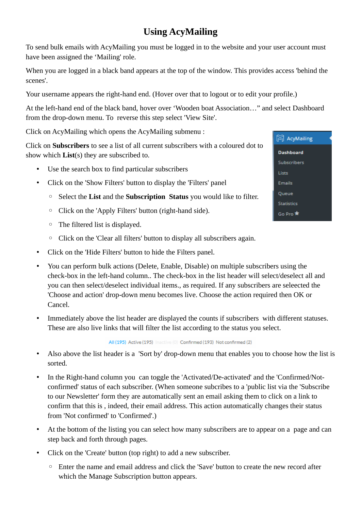# **Using AcyMailing**

To send bulk emails with AcyMailing you must be logged in to the website and your user account must have been assigned the 'Mailing' role.

When you are logged in a black band appears at the top of the window. This provides access 'behind the scenes'.

Your username appears the right-hand end. (Hover over that to logout or to edit your profile.)

At the left-hand end of the black band, hover over 'Wooden boat Association…" and select Dashboard from the drop-down menu. To reverse this step select 'View Site'.

Click on AcyMailing which opens the AcyMailing submenu :

Click on **Subscribers** to see a list of all current subscribers with a coloured dot to show which **List**(s) they are subscribed to.

- Use the search box to find particular subscribers
- Click on the 'Show Filters' button to display the 'Filters' panel
	- Select the **List** and the **Subscription Status** you would like to filter.
	- Click on the 'Apply Filters' button (right-hand side).
	- The filtered list is displayed.
	- Click on the 'Clear all filters' button to display all subscribers again.
- Click on the 'Hide Filters' button to hide the Filters panel.
- You can perform bulk actions (Delete, Enable, Disable) on multiple subscribers using the check-box in the left-hand column.. The check-box in the list header will select/deselect all and you can then select/deselect individual items., as required. If any subscribers are seleected the 'Choose and action' drop-down menu becomes live. Choose the action required then OK or Cancel.
- Immediately above the list header are displayed the counts if subscribers with different statuses. These are also live links that will filter the list according to the status you select.

All (195) Active (195) Inactive (0) Confirmed (193) Not confirmed (2)

- Also above the list header is a 'Sort by' drop-down menu that enables you to choose how the list is sorted.
- In the Right-hand column you can toggle the 'Activated/De-activated' and the 'Confirmed/Notconfirmed' status of each subscriber. (When someone subcribes to a 'public list via the 'Subscribe to our Newsletter' form they are automatically sent an email asking them to click on a link to confirm that this is , indeed, their email address. This action automatically changes their status from 'Not confirmed' to 'Confirmed'.)
- At the bottom of the listing you can select how many subscribers are to appear on a page and can step back and forth through pages.
- Click on the 'Create' button (top right) to add a new subscriber.
	- Enter the name and email address and click the 'Save' button to create the new record after which the Manage Subscription button appears.

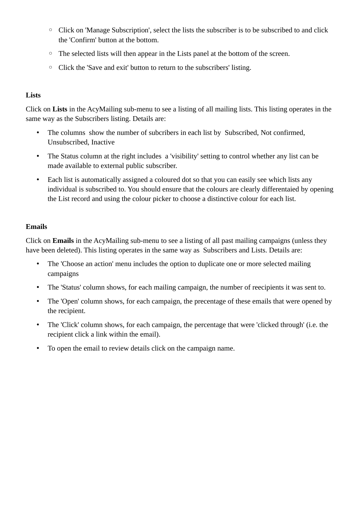- Click on 'Manage Subscription', select the lists the subscriber is to be subscribed to and click the 'Confirm' button at the bottom.
- The selected lists will then appear in the Lists panel at the bottom of the screen.
- Click the 'Save and exit' button to return to the subscribers' listing.

# **Lists**

Click on **Lists** in the AcyMailing sub-menu to see a listing of all mailing lists. This listing operates in the same way as the Subscribers listing. Details are:

- The columns show the number of subcribers in each list by Subscribed, Not confirmed, Unsubscribed, Inactive
- The Status column at the right includes a 'visibility' setting to control whether any list can be made available to external public subscriber.
- Each list is automatically assigned a coloured dot so that you can easily see which lists any individual is subscribed to. You should ensure that the colours are clearly differentaied by opening the List record and using the colour picker to choose a distinctive colour for each list.

## **Emails**

Click on **Emails** in the AcyMailing sub-menu to see a listing of all past mailing campaigns (unless they have been deleted). This listing operates in the same way as Subscribers and Lists. Details are:

- The 'Choose an action' menu includes the option to duplicate one or more selected mailing campaigns
- The 'Status' column shows, for each mailing campaign, the number of reecipients it was sent to.
- The 'Open' column shows, for each campaign, the precentage of these emails that were opened by the recipient.
- The 'Click' column shows, for each campaign, the percentage that were 'clicked through' (i.e. the recipient click a link within the email).
- To open the email to review details click on the campaign name.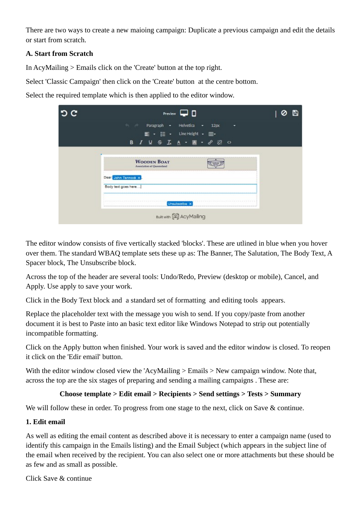There are two ways to create a new maioing campaign: Duplicate a previous campaign and edit the details or start from scratch.

## **A. Start from Scratch**

In AcyMailing > Emails click on the 'Create' button at the top right.

Select 'Classic Campaign' then click on the 'Create' button at the centre bottom.

Select the required template which is then applied to the editor window.

| c | Preview $\Box$ $\Box$                                                                              |  |
|---|----------------------------------------------------------------------------------------------------|--|
|   | <b>Paragraph</b><br>Helvetica<br>12px<br>٠<br>۰<br>۰                                               |  |
|   | ■ · IE · Line Height · 田·<br><b>B</b> <i>I</i> <u>U</u><br>$\mathbf{S}$<br>I.<br>恣<br>$\circ$<br>A |  |
|   | <b>WOODEN BOAT</b><br>Association of Queensland                                                    |  |
|   | Dear John Tennock X<br>Body text goes here                                                         |  |
|   | -----------<br>Unsubscribe X                                                                       |  |
|   | Buit with [ Acy Mailing                                                                            |  |

The editor window consists of five vertically stacked 'blocks'. These are utlined in blue when you hover over them. The standard WBAQ template sets these up as: The Banner, The Salutation, The Body Text, A Spacer block, The Unsubscribe block.

Across the top of the header are several tools: Undo/Redo, Preview (desktop or mobile), Cancel, and Apply. Use apply to save your work.

Click in the Body Text block and a standard set of formatting and editing tools appears.

Replace the placeholder text with the message you wish to send. If you copy/paste from another document it is best to Paste into an basic text editor like Windows Notepad to strip out potentially incompatible formatting.

Click on the Apply button when finished. Your work is saved and the editor window is closed. To reopen it click on the 'Edir email' button.

With the editor window closed view the 'AcyMailing > Emails > New campaign window. Note that, across the top are the six stages of preparing and sending a mailing campaigns . These are:

## **Choose template > Edit email > Recipients > Send settings > Tests > Summary**

We will follow these in order. To progress from one stage to the next, click on Save & continue.

#### **1. Edit email**

As well as editing the email content as described above it is necessary to enter a campaign name (used to identify this campaign in the Emails listing) and the Email Subject (which appears in the subject line of the email when received by the recipient. You can also select one or more attachments but these should be as few and as small as possible.

Click Save & continue